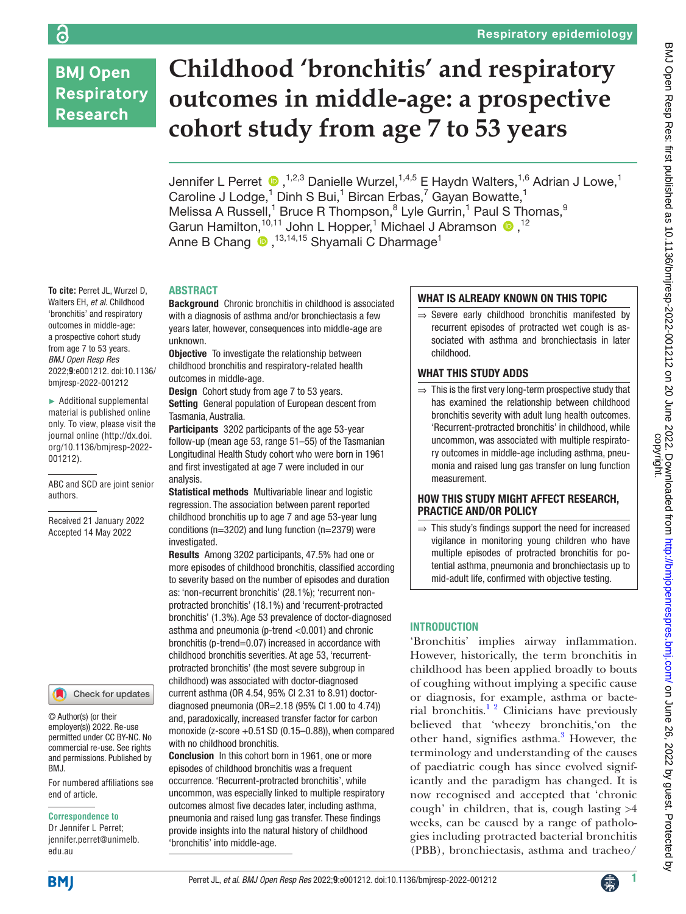# **BMJ Open Respiratory Research**

**To cite:** Perret JL, Wurzel D, Walters EH, *et al*. Childhood 'bronchitis' and respiratory outcomes in middle-age: a prospective cohort study from age 7 to 53 years. *BMJ Open Resp Res* 2022;**9**:e001212. doi:10.1136/ bmjresp-2022-001212 ► Additional supplemental material is published online only. To view, please visit the journal online ([http://dx.doi.](http://dx.doi.org/10.1136/bmjresp-2022-001212) [org/10.1136/bmjresp-2022-](http://dx.doi.org/10.1136/bmjresp-2022-001212)

[001212](http://dx.doi.org/10.1136/bmjresp-2022-001212)).

authors.

ABC and SCD are joint senior

Received 21 January 2022 Accepted 14 May 2022

For numbered affiliations see

Check for updates

# **Childhood 'bronchitis' and respiratory outcomes in middle-age: a prospective cohort study from age 7 to 53 years**

Jennifer L Perret  $\bullet$ , <sup>1,2,3</sup> Danielle Wurzel, <sup>1,4,5</sup> E Haydn Walters, <sup>1,6</sup> Adrian J Lowe,<sup>1</sup> Caroline J Lodge,<sup>1</sup> Dinh S Bui,<sup>1</sup> Bircan Erbas,<sup>7</sup> Gayan Bowatte,<sup>1</sup> Melissa A Russell,<sup>1</sup> Bruce R Thompson,<sup>8</sup> Lyle Gurrin,<sup>1</sup> Paul S Thomas,<sup>9</sup> GarunHamilton,  $10,11$  John L Hopper, <sup>1</sup> Michael J Abramson  $\bullet$ ,  $12$ AnneB Chang (D, <sup>13,14,15</sup> Shyamali C Dharmage<sup>1</sup>

#### ABSTRACT

Background Chronic bronchitis in childhood is associated with a diagnosis of asthma and/or bronchiectasis a few years later, however, consequences into middle-age are unknown.

**Objective** To investigate the relationship between childhood bronchitis and respiratory-related health outcomes in middle-age.

Design Cohort study from age 7 to 53 years. Setting General population of European descent from Tasmania, Australia.

Participants 3202 participants of the age 53-year follow-up (mean age 53, range 51–55) of the Tasmanian Longitudinal Health Study cohort who were born in 1961 and first investigated at age 7 were included in our analysis.

Statistical methods Multivariable linear and logistic regression. The association between parent reported childhood bronchitis up to age 7 and age 53-year lung conditions (n=3202) and lung function (n=2379) were investigated.

Results Among 3202 participants, 47.5% had one or more episodes of childhood bronchitis, classified according to severity based on the number of episodes and duration as: 'non-recurrent bronchitis' (28.1%); 'recurrent nonprotracted bronchitis' (18.1%) and 'recurrent-protracted bronchitis' (1.3%). Age 53 prevalence of doctor-diagnosed asthma and pneumonia (p-trend <0.001) and chronic bronchitis (p-trend=0.07) increased in accordance with childhood bronchitis severities. At age 53, 'recurrentprotracted bronchitis' (the most severe subgroup in childhood) was associated with doctor-diagnosed current asthma (OR 4.54, 95% CI 2.31 to 8.91) doctordiagnosed pneumonia (OR=2.18 (95% CI 1.00 to 4.74)) and, paradoxically, increased transfer factor for carbon monoxide ( $z$ -score  $+0.51$  SD ( $0.15-0.88$ )), when compared with no childhood bronchitis.

Conclusion In this cohort born in 1961, one or more episodes of childhood bronchitis was a frequent occurrence. 'Recurrent-protracted bronchitis', while uncommon, was especially linked to multiple respiratory outcomes almost five decades later, including asthma, pneumonia and raised lung gas transfer. These findings provide insights into the natural history of childhood 'bronchitis' into middle-age.

# WHAT IS ALREADY KNOWN ON THIS TOPIC

⇒ Severe early childhood bronchitis manifested by recurrent episodes of protracted wet cough is associated with asthma and bronchiectasis in later childhood.

# WHAT THIS STUDY ADDS

 $\Rightarrow$  This is the first very long-term prospective study that has examined the relationship between childhood bronchitis severity with adult lung health outcomes. 'Recurrent-protracted bronchitis' in childhood, while uncommon, was associated with multiple respiratory outcomes in middle-age including asthma, pneumonia and raised lung gas transfer on lung function measurement.

### HOW THIS STUDY MIGHT AFFECT RESEARCH, PRACTICE AND/OR POLICY

 $\Rightarrow$  This study's findings support the need for increased vigilance in monitoring young children who have multiple episodes of protracted bronchitis for potential asthma, pneumonia and bronchiectasis up to mid-adult life, confirmed with objective testing.

# INTRODUCTION

'Bronchitis' implies airway inflammation. However, historically, the term bronchitis in childhood has been applied broadly to bouts of coughing without implying a specific cause or diagnosis, for example, asthma or bacterial bronchitis. $1^2$  Clinicians have previously believed that 'wheezy bronchitis,'on the other hand, signifies asthma.<sup>[3](#page-10-1)</sup> However, the terminology and understanding of the causes of paediatric cough has since evolved significantly and the paradigm has changed. It is now recognised and accepted that 'chronic cough' in children, that is, cough lasting >4 weeks, can be caused by a range of pathologies including protracted bacterial bronchitis (PBB), bronchiectasis, asthma and tracheo/

**BMI** 

edu.au

BMJ.

end of article.

**Correspondence to** Dr Jennifer L Perret; jennifer.perret@unimelb.

© Author(s) (or their employer(s)) 2022. Re-use permitted under CC BY-NC. No commercial re-use. See rights and permissions. Published by

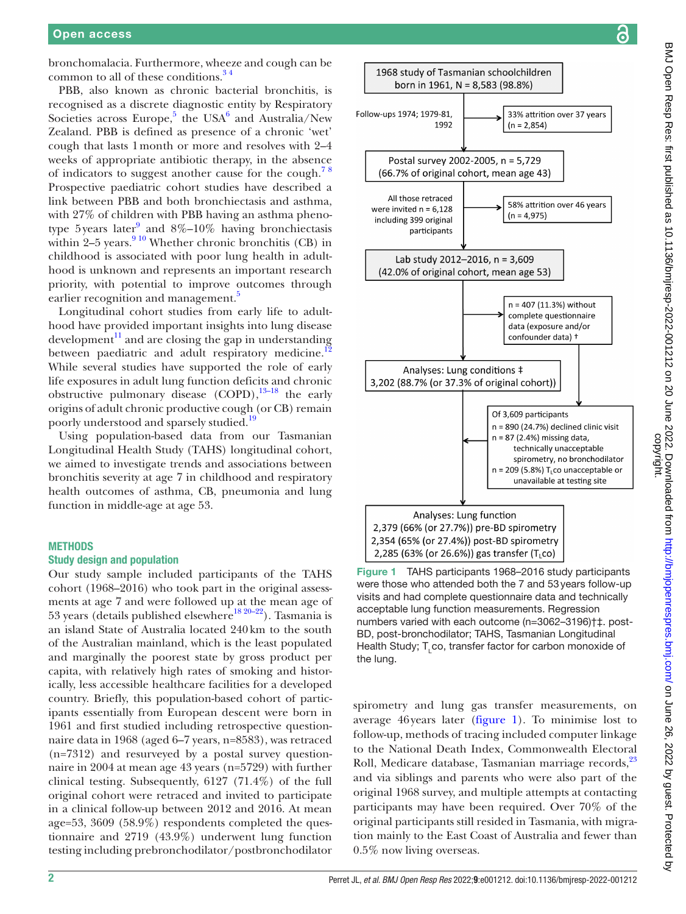bronchomalacia. Furthermore, wheeze and cough can be common to all of these conditions. $34$ 

PBB, also known as chronic bacterial bronchitis, is recognised as a discrete diagnostic entity by Respiratory Societies across Europe,<sup>[5](#page-10-2)</sup> the USA<sup>[6](#page-10-3)</sup> and Australia/New Zealand. PBB is defined as presence of a chronic 'wet' cough that lasts 1month or more and resolves with 2–4 weeks of appropriate antibiotic therapy, in the absence of indicators to suggest another cause for the cough.<sup>78</sup> Prospective paediatric cohort studies have described a link between PBB and both bronchiectasis and asthma, with 27% of children with PBB having an asthma pheno-type 5 years later<sup>[9](#page-10-5)</sup> and  $8\%$ -10% having bronchiectasis within  $2-5$  years.<sup>9 10</sup> Whether chronic bronchitis (CB) in childhood is associated with poor lung health in adulthood is unknown and represents an important research priority, with potential to improve outcomes through earlier recognition and management.<sup>5</sup>

Longitudinal cohort studies from early life to adulthood have provided important insights into lung disease development $\frac{11}{11}$  and are closing the gap in understanding between paediatric and adult respiratory medicine.<sup>1</sup> While several studies have supported the role of early life exposures in adult lung function deficits and chronic obstructive pulmonary disease  $(COPD)$ , <sup>13–18</sup> the early origins of adult chronic productive cough (or CB) remain poorly understood and sparsely studied.<sup>[19](#page-10-9)</sup>

Using population-based data from our Tasmanian Longitudinal Health Study (TAHS) longitudinal cohort, we aimed to investigate trends and associations between bronchitis severity at age 7 in childhood and respiratory health outcomes of asthma, CB, pneumonia and lung function in middle-age at age 53.

## **METHODS**

#### Study design and population

Our study sample included participants of the TAHS cohort (1968–2016) who took part in the original assessments at age 7 and were followed up at the mean age of 53 years (details published elsewhere<sup>18 20–22</sup>). Tasmania is an island State of Australia located 240km to the south of the Australian mainland, which is the least populated and marginally the poorest state by gross product per capita, with relatively high rates of smoking and historically, less accessible healthcare facilities for a developed country. Briefly, this population-based cohort of participants essentially from European descent were born in 1961 and first studied including retrospective questionnaire data in 1968 (aged 6–7 years, n=8583), was retraced (n=7312) and resurveyed by a postal survey questionnaire in 2004 at mean age 43 years (n=5729) with further clinical testing. Subsequently, 6127 (71.4%) of the full original cohort were retraced and invited to participate in a clinical follow-up between 2012 and 2016. At mean age=53, 3609 (58.9%) respondents completed the questionnaire and 2719 (43.9%) underwent lung function testing including prebronchodilator/postbronchodilator



<span id="page-1-0"></span>Figure 1 TAHS participants 1968–2016 study participants were those who attended both the 7 and 53years follow-up visits and had complete questionnaire data and technically acceptable lung function measurements. Regression numbers varied with each outcome (n=3062–3196)†‡. post-BD, post-bronchodilator; TAHS, Tasmanian Longitudinal Health Study; T<sub>L</sub>co, transfer factor for carbon monoxide of the lung.

spirometry and lung gas transfer measurements, on average 46years later [\(figure](#page-1-0) 1). To minimise lost to follow-up, methods of tracing included computer linkage to the National Death Index, Commonwealth Electoral Roll, Medicare database, Tasmanian marriage records,<sup>23</sup> and via siblings and parents who were also part of the original 1968 survey, and multiple attempts at contacting participants may have been required. Over 70% of the original participants still resided in Tasmania, with migration mainly to the East Coast of Australia and fewer than 0.5% now living overseas.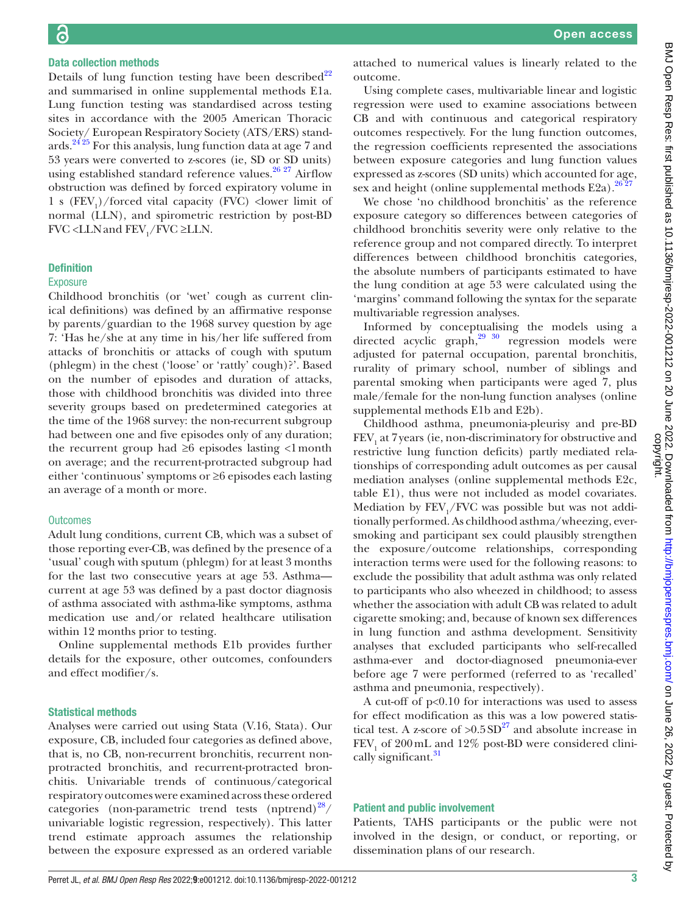# Data collection methods

Details of lung function testing have been described<sup>[22](#page-10-12)</sup> and summarised in [online supplemental methods E1a.](https://dx.doi.org/10.1136/bmjresp-2022-001212) Lung function testing was standardised across testing sites in accordance with the 2005 American Thoracic Society/ European Respiratory Society (ATS/ERS) standards.[24 25](#page-10-13) For this analysis, lung function data at age 7 and 53 years were converted to z-scores (ie, SD or SD units) using established standard reference values. $26\frac{27}{12}$  Airflow obstruction was defined by forced expiratory volume in 1 s  $(FEV_1)/$  forced vital capacity (FVC) < lower limit of normal (LLN), and spirometric restriction by post-BD FVC <LLN and  $\text{FEV}_1/\text{FVC} \geq \text{LLN}$ .

#### Definition

#### **Exposure**

Childhood bronchitis (or 'wet' cough as current clinical definitions) was defined by an affirmative response by parents/guardian to the 1968 survey question by age 7: 'Has he/she at any time in his/her life suffered from attacks of bronchitis or attacks of cough with sputum (phlegm) in the chest ('loose' or 'rattly' cough)?'. Based on the number of episodes and duration of attacks, those with childhood bronchitis was divided into three severity groups based on predetermined categories at the time of the 1968 survey: the non-recurrent subgroup had between one and five episodes only of any duration; the recurrent group had  $\geq 6$  episodes lasting  $\lt 1$  month on average; and the recurrent-protracted subgroup had either 'continuous' symptoms or ≥6 episodes each lasting an average of a month or more.

#### **Outcomes**

Adult lung conditions, current CB, which was a subset of those reporting ever-CB, was defined by the presence of a 'usual' cough with sputum (phlegm) for at least 3 months for the last two consecutive years at age 53. Asthma current at age 53 was defined by a past doctor diagnosis of asthma associated with asthma-like symptoms, asthma medication use and/or related healthcare utilisation within 12 months prior to testing.

[Online supplemental methods E1b](https://dx.doi.org/10.1136/bmjresp-2022-001212) provides further details for the exposure, other outcomes, confounders and effect modifier/s.

#### Statistical methods

Analyses were carried out using Stata (V.16, Stata). Our exposure, CB, included four categories as defined above, that is, no CB, non-recurrent bronchitis, recurrent nonprotracted bronchitis, and recurrent-protracted bronchitis. Univariable trends of continuous/categorical respiratory outcomes were examined across these ordered categories (non-parametric trend tests (nptrend) $28/$ univariable logistic regression, respectively). This latter trend estimate approach assumes the relationship between the exposure expressed as an ordered variable

attached to numerical values is linearly related to the outcome.

Using complete cases, multivariable linear and logistic regression were used to examine associations between CB and with continuous and categorical respiratory outcomes respectively. For the lung function outcomes, the regression coefficients represented the associations between exposure categories and lung function values expressed as z-scores (SD units) which accounted for age, sex and height (online supplemental methods  $E2a$ ).<sup>[26 27](#page-10-14)</sup>

We chose 'no childhood bronchitis' as the reference exposure category so differences between categories of childhood bronchitis severity were only relative to the reference group and not compared directly. To interpret differences between childhood bronchitis categories, the absolute numbers of participants estimated to have the lung condition at age 53 were calculated using the 'margins' command following the syntax for the separate multivariable regression analyses.

Informed by conceptualising the models using a directed acyclic graph,<sup>29 30</sup> regression models were adjusted for paternal occupation, parental bronchitis, rurality of primary school, number of siblings and parental smoking when participants were aged 7, plus male/female for the non-lung function analyses [\(online](https://dx.doi.org/10.1136/bmjresp-2022-001212) [supplemental methods E1b and E2b\)](https://dx.doi.org/10.1136/bmjresp-2022-001212).

Childhood asthma, pneumonia-pleurisy and pre-BD  ${\rm FEV}_1$  at 7 years (ie, non-discriminatory for obstructive and restrictive lung function deficits) partly mediated relationships of corresponding adult outcomes as per causal mediation analyses [\(online supplemental methods E2c,](https://dx.doi.org/10.1136/bmjresp-2022-001212) [table E1\)](https://dx.doi.org/10.1136/bmjresp-2022-001212), thus were not included as model covariates. Mediation by  $\text{FEV}_1/\text{FVC}$  was possible but was not additionally performed. As childhood asthma/wheezing, eversmoking and participant sex could plausibly strengthen the exposure/outcome relationships, corresponding interaction terms were used for the following reasons: to exclude the possibility that adult asthma was only related to participants who also wheezed in childhood; to assess whether the association with adult CB was related to adult cigarette smoking; and, because of known sex differences in lung function and asthma development. Sensitivity analyses that excluded participants who self-recalled asthma-ever and doctor-diagnosed pneumonia-ever before age 7 were performed (referred to as 'recalled' asthma and pneumonia, respectively).

A cut-off of p<0.10 for interactions was used to assess for effect modification as this was a low powered statistical test. A z-score of  $>0.5SD^{27}$  and absolute increase in  $FEV<sub>1</sub>$  of 200 mL and 12% post-BD were considered clinically significant.<sup>31</sup>

#### Patient and public involvement

Patients, TAHS participants or the public were not involved in the design, or conduct, or reporting, or dissemination plans of our research.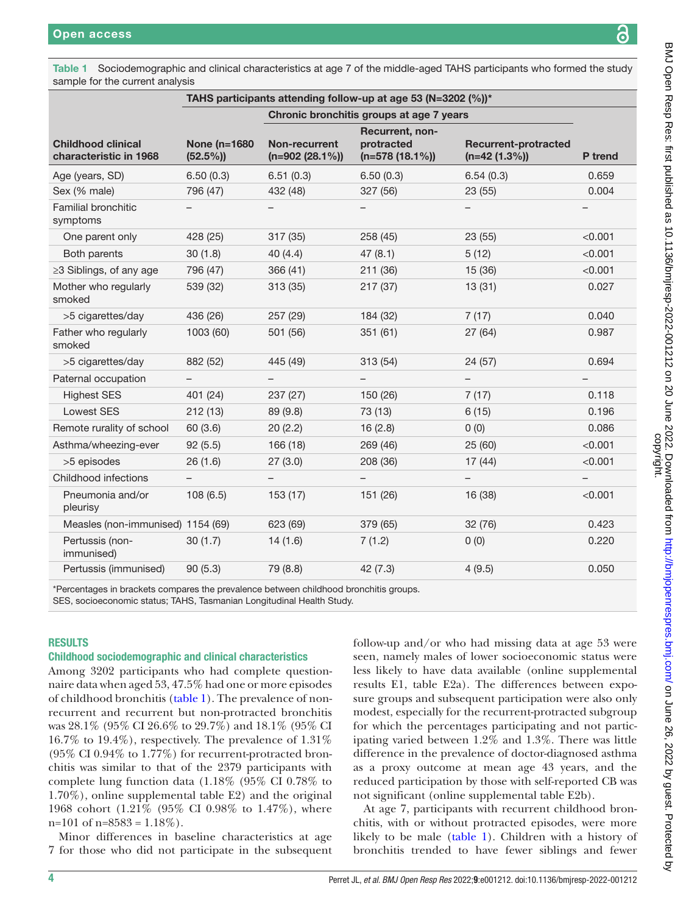<span id="page-3-0"></span>Table 1 Sociodemographic and clinical characteristics at age 7 of the middle-aged TAHS participants who formed the study sample for the current analysis

|                                                     | TAHS participants attending follow-up at age 53 (N=3202 (%))* |                                          |                                                   |                                                |                |
|-----------------------------------------------------|---------------------------------------------------------------|------------------------------------------|---------------------------------------------------|------------------------------------------------|----------------|
|                                                     |                                                               | Chronic bronchitis groups at age 7 years |                                                   |                                                |                |
| <b>Childhood clinical</b><br>characteristic in 1968 | <b>None (n=1680)</b><br>$(52.5\%)$                            | Non-recurrent<br>$(n=902 (28.1%)$        | Recurrent, non-<br>protracted<br>$(n=578(18.1\%)$ | <b>Recurrent-protracted</b><br>$(n=42 (1.3\%)$ | <b>P</b> trend |
| Age (years, SD)                                     | 6.50(0.3)                                                     | 6.51(0.3)                                | 6.50(0.3)                                         | 6.54(0.3)                                      | 0.659          |
| Sex (% male)                                        | 796 (47)                                                      | 432 (48)                                 | 327 (56)                                          | 23 (55)                                        | 0.004          |
| Familial bronchitic<br>symptoms                     |                                                               |                                          |                                                   |                                                |                |
| One parent only                                     | 428 (25)                                                      | 317 (35)                                 | 258(45)                                           | 23(55)                                         | < 0.001        |
| Both parents                                        | 30(1.8)                                                       | 40(4.4)                                  | 47(8.1)                                           | 5(12)                                          | < 0.001        |
| ≥3 Siblings, of any age                             | 796 (47)                                                      | 366 (41)                                 | 211 (36)                                          | 15 (36)                                        | < 0.001        |
| Mother who regularly<br>smoked                      | 539 (32)                                                      | 313(35)                                  | 217(37)                                           | 13(31)                                         | 0.027          |
| >5 cigarettes/day                                   | 436 (26)                                                      | 257 (29)                                 | 184 (32)                                          | 7(17)                                          | 0.040          |
| Father who regularly<br>smoked                      | 1003 (60)                                                     | 501 (56)                                 | 351(61)                                           | 27(64)                                         | 0.987          |
| >5 cigarettes/day                                   | 882 (52)                                                      | 445 (49)                                 | 313(54)                                           | 24(57)                                         | 0.694          |
| Paternal occupation                                 | $\overline{\phantom{0}}$                                      |                                          |                                                   | $\overline{\phantom{m}}$                       |                |
| <b>Highest SES</b>                                  | 401 (24)                                                      | 237 (27)                                 | 150 (26)                                          | 7(17)                                          | 0.118          |
| <b>Lowest SES</b>                                   | 212(13)                                                       | 89 (9.8)                                 | 73 (13)                                           | 6(15)                                          | 0.196          |
| Remote rurality of school                           | 60(3.6)                                                       | 20(2.2)                                  | 16(2.8)                                           | 0(0)                                           | 0.086          |
| Asthma/wheezing-ever                                | 92(5.5)                                                       | 166 (18)                                 | 269 (46)                                          | 25(60)                                         | < 0.001        |
| >5 episodes                                         | 26(1.6)                                                       | 27(3.0)                                  | 208 (36)                                          | 17(44)                                         | < 0.001        |
| Childhood infections                                |                                                               |                                          |                                                   |                                                |                |
| Pneumonia and/or<br>pleurisy                        | 108(6.5)                                                      | 153(17)                                  | 151 (26)                                          | 16 (38)                                        | < 0.001        |
| Measles (non-immunised) 1154 (69)                   |                                                               | 623 (69)                                 | 379 (65)                                          | 32 (76)                                        | 0.423          |
| Pertussis (non-<br>immunised)                       | 30(1.7)                                                       | 14(1.6)                                  | 7(1.2)                                            | 0(0)                                           | 0.220          |
| Pertussis (immunised)                               | 90(5.3)                                                       | 79 (8.8)                                 | 42(7.3)                                           | 4(9.5)                                         | 0.050          |

\*Percentages in brackets compares the prevalence between childhood bronchitis groups.

SES, socioeconomic status; TAHS, Tasmanian Longitudinal Health Study.

#### RESULTS

#### Childhood sociodemographic and clinical characteristics

Among 3202 participants who had complete questionnaire data when aged 53, 47.5% had one or more episodes of childhood bronchitis ([table](#page-3-0) 1). The prevalence of nonrecurrent and recurrent but non-protracted bronchitis was 28.1% (95% CI 26.6% to 29.7%) and 18.1% (95% CI 16.7% to 19.4%), respectively. The prevalence of 1.31% (95% CI 0.94% to 1.77%) for recurrent-protracted bronchitis was similar to that of the 2379 participants with complete lung function data (1.18% (95% CI 0.78% to 1.70%), [online supplemental table E2](https://dx.doi.org/10.1136/bmjresp-2022-001212)) and the original 1968 cohort (1.21% (95% CI 0.98% to 1.47%), where  $n=101$  of  $n=8583 = 1.18\%$ ).

Minor differences in baseline characteristics at age 7 for those who did not participate in the subsequent

follow-up and/or who had missing data at age 53 were seen, namely males of lower socioeconomic status were less likely to have data available [\(online supplemental](https://dx.doi.org/10.1136/bmjresp-2022-001212) [results E1, table E2a\)](https://dx.doi.org/10.1136/bmjresp-2022-001212). The differences between exposure groups and subsequent participation were also only modest, especially for the recurrent-protracted subgroup for which the percentages participating and not participating varied between 1.2% and 1.3%. There was little difference in the prevalence of doctor-diagnosed asthma as a proxy outcome at mean age 43 years, and the reduced participation by those with self-reported CB was not significant [\(online supplemental table E2b\)](https://dx.doi.org/10.1136/bmjresp-2022-001212).

At age 7, participants with recurrent childhood bronchitis, with or without protracted episodes, were more likely to be male [\(table](#page-3-0) 1). Children with a history of bronchitis trended to have fewer siblings and fewer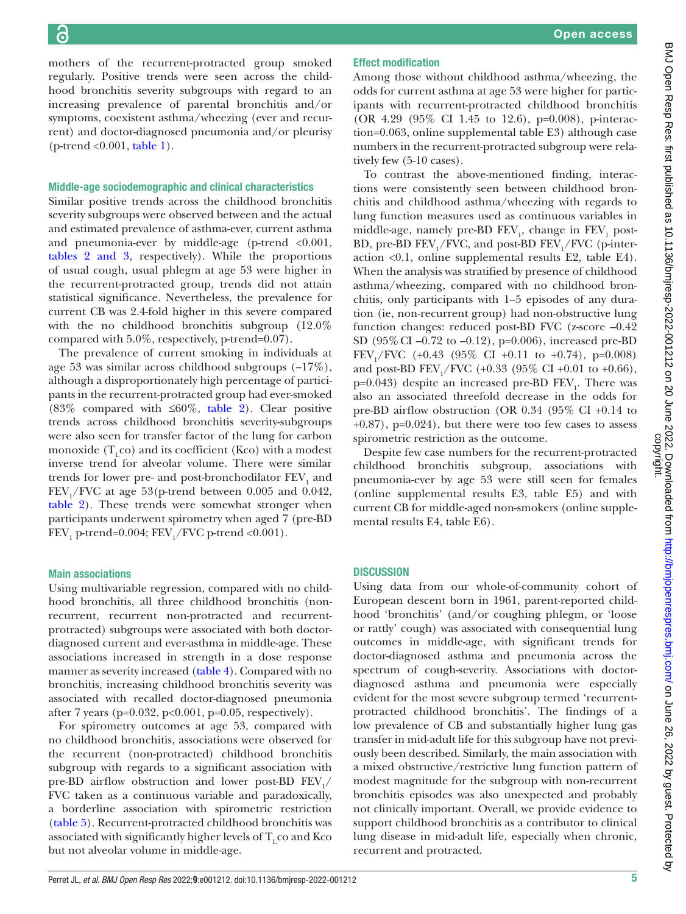mothers of the recurrent-protracted group smoked regularly. Positive trends were seen across the childhood bronchitis severity subgroups with regard to an increasing prevalence of parental bronchitis and/or symptoms, coexistent asthma/wheezing (ever and recurrent) and doctor-diagnosed pneumonia and/or pleurisy  $(p$ -trend < 0.001, [table](#page-3-0) 1).

#### Middle-age sociodemographic and clinical characteristics

Similar positive trends across the childhood bronchitis severity subgroups were observed between and the actual and estimated prevalence of asthma-ever, current asthma and pneumonia-ever by middle-age (p-trend  $\langle 0.001,$ tables [2 and 3](#page-5-0), respectively). While the proportions of usual cough, usual phlegm at age 53 were higher in the recurrent-protracted group, trends did not attain statistical significance. Nevertheless, the prevalence for current CB was 2.4-fold higher in this severe compared with the no childhood bronchitis subgroup  $(12.0\%$ compared with 5.0%, respectively, p-trend=0.07).

The prevalence of current smoking in individuals at age 53 was similar across childhood subgroups (~17%), although a disproportionately high percentage of participants in the recurrent-protracted group had ever-smoked (83% compared with ≤60%, [table](#page-5-0) 2). Clear positive trends across childhood bronchitis severity-subgroups were also seen for transfer factor of the lung for carbon monoxide  $(T_{\rm c}$  co) and its coefficient (Kco) with a modest inverse trend for alveolar volume. There were similar trends for lower pre- and post-bronchodilator  $\operatorname{FEV}_1$  and  $\text{FEV}_1/\text{FVC}$  at age 53(p-trend between 0.005 and 0.042, [table](#page-5-0) 2). These trends were somewhat stronger when participants underwent spirometry when aged 7 (pre-BD  $\mathrm{FEV}_1$  p-trend=0.004;  $\mathrm{FEV}_1/\mathrm{FVC}$  p-trend <0.001).

#### Main associations

Using multivariable regression, compared with no childhood bronchitis, all three childhood bronchitis (nonrecurrent, recurrent non-protracted and recurrentprotracted) subgroups were associated with both doctordiagnosed current and ever-asthma in middle-age. These associations increased in strength in a dose response manner as severity increased ([table](#page-7-0) 4). Compared with no bronchitis, increasing childhood bronchitis severity was associated with recalled doctor-diagnosed pneumonia after 7 years (p=0.032, p<0.001, p=0.05, respectively).

For spirometry outcomes at age 53, compared with no childhood bronchitis, associations were observed for the recurrent (non-protracted) childhood bronchitis subgroup with regards to a significant association with pre-BD airflow obstruction and lower post-BD  $\text{FEV}_1/$ FVC taken as a continuous variable and paradoxically, a borderline association with spirometric restriction [\(table](#page-8-0) 5). Recurrent-protracted childhood bronchitis was associated with significantly higher levels of  $T_{\text{r}}$  co and Kco but not alveolar volume in middle-age.

#### Effect modification

Among those without childhood asthma/wheezing, the odds for current asthma at age 53 were higher for participants with recurrent-protracted childhood bronchitis (OR 4.29 (95% CI 1.45 to 12.6), p=0.008), p-interaction=0.063, [online supplemental table E3](https://dx.doi.org/10.1136/bmjresp-2022-001212)) although case numbers in the recurrent-protracted subgroup were relatively few (5-10 cases).

To contrast the above-mentioned finding, interactions were consistently seen between childhood bronchitis and childhood asthma/wheezing with regards to lung function measures used as continuous variables in middle-age, namely pre-BD  $\text{FEV}_1$ , change in  $\text{FEV}_1$  post-BD, pre-BD  $\text{FEV}_1/\text{FVC}$ , and post-BD  $\text{FEV}_1/\text{FVC}$  (p-interaction <0.1, [online supplemental results E2, table E4](https://dx.doi.org/10.1136/bmjresp-2022-001212)). When the analysis was stratified by presence of childhood asthma/wheezing, compared with no childhood bronchitis, only participants with 1–5 episodes of any duration (ie, non-recurrent group) had non-obstructive lung function changes: reduced post-BD FVC (z-score –0.42 SD (95%CI –0.72 to –0.12), p=0.006), increased pre-BD FEV<sub>1</sub>/FVC (+0.43 (95% CI +0.11 to +0.74), p=0.008) and post-BD  $\text{FEV}_1/\text{FVC}$  (+0.33 (95% CI +0.01 to +0.66), p=0.043) despite an increased pre-BD  $FEV<sub>1</sub>$ . There was also an associated threefold decrease in the odds for pre-BD airflow obstruction (OR 0.34 (95% CI +0.14 to  $+0.87$ , p= $0.024$ , but there were too few cases to assess spirometric restriction as the outcome.

Despite few case numbers for the recurrent-protracted childhood bronchitis subgroup, associations with pneumonia-ever by age 53 were still seen for females [\(online supplemental results E3, table E5](https://dx.doi.org/10.1136/bmjresp-2022-001212)) and with current CB for middle-aged non-smokers [\(online supple](https://dx.doi.org/10.1136/bmjresp-2022-001212)[mental results E4, table E6](https://dx.doi.org/10.1136/bmjresp-2022-001212)).

#### **DISCUSSION**

Using data from our whole-of-community cohort of European descent born in 1961, parent-reported childhood 'bronchitis' (and/or coughing phlegm, or 'loose or rattly' cough) was associated with consequential lung outcomes in middle-age, with significant trends for doctor-diagnosed asthma and pneumonia across the spectrum of cough-severity. Associations with doctordiagnosed asthma and pneumonia were especially evident for the most severe subgroup termed 'recurrentprotracted childhood bronchitis'. The findings of a low prevalence of CB and substantially higher lung gas transfer in mid-adult life for this subgroup have not previously been described. Similarly, the main association with a mixed obstructive/restrictive lung function pattern of modest magnitude for the subgroup with non-recurrent bronchitis episodes was also unexpected and probably not clinically important. Overall, we provide evidence to support childhood bronchitis as a contributor to clinical lung disease in mid-adult life, especially when chronic, recurrent and protracted.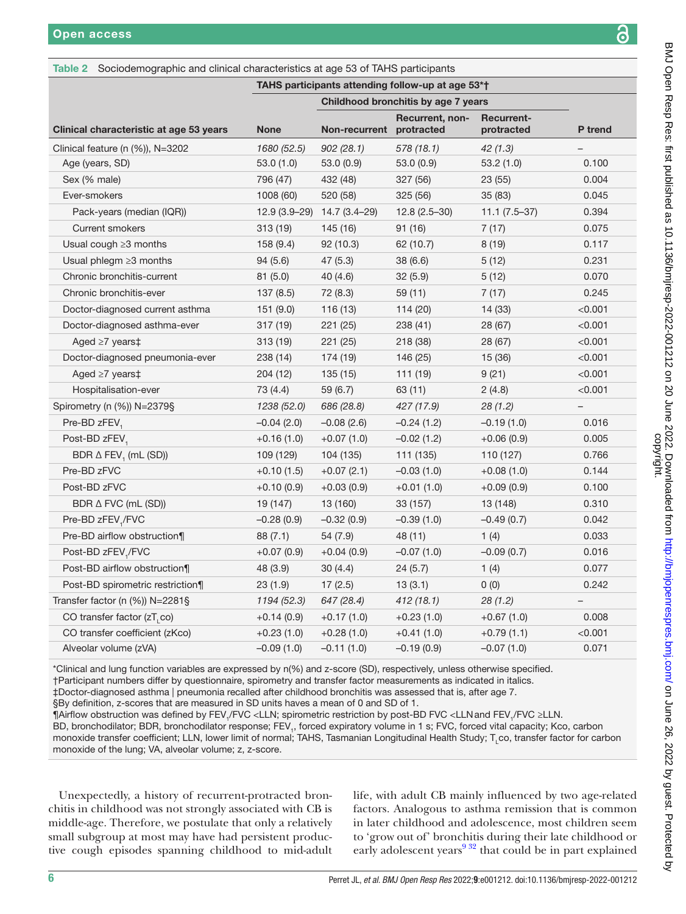<span id="page-5-0"></span>

| Table 2 Sociodemographic and clinical characteristics at age 53 of TAHS participants |              |                                     |                        |                                 |                   |  |  |
|--------------------------------------------------------------------------------------|--------------|-------------------------------------|------------------------|---------------------------------|-------------------|--|--|
| TAHS participants attending follow-up at age 53*†                                    |              |                                     |                        |                                 |                   |  |  |
|                                                                                      |              | Childhood bronchitis by age 7 years |                        |                                 |                   |  |  |
| Clinical characteristic at age 53 years                                              | <b>None</b>  | Non-recurrent protracted            | <b>Recurrent, non-</b> | <b>Recurrent-</b><br>protracted | P trend           |  |  |
| Clinical feature (n $(\%)$ ), N=3202                                                 | 1680 (52.5)  | 902(28.1)                           | 578 (18.1)             | 42(1.3)                         |                   |  |  |
| Age (years, SD)                                                                      | 53.0(1.0)    | 53.0(0.9)                           | 53.0(0.9)              | 53.2(1.0)                       | 0.100             |  |  |
| Sex (% male)                                                                         | 796 (47)     | 432 (48)                            | 327 (56)               | 23 (55)                         | 0.004             |  |  |
| Ever-smokers                                                                         | 1008 (60)    | 520 (58)                            | 325(56)                | 35(83)                          | 0.045             |  |  |
| Pack-years (median (IQR))                                                            |              | 12.9 (3.9-29) 14.7 (3.4-29)         | $12.8(2.5-30)$         | $11.1(7.5-37)$                  | 0.394             |  |  |
| <b>Current smokers</b>                                                               | 313 (19)     | 145 (16)                            | 91(16)                 | 7(17)                           | 0.075             |  |  |
| Usual cough $\geq$ 3 months                                                          | 158 (9.4)    | 92(10.3)                            | 62 (10.7)              | 8(19)                           | 0.117             |  |  |
| Usual phlegm $\geq$ 3 months                                                         | 94(5.6)      | 47 (5.3)                            | 38 (6.6)               | 5(12)                           | 0.231             |  |  |
| Chronic bronchitis-current                                                           | 81(5.0)      | 40 (4.6)                            | 32(5.9)                | 5(12)                           | 0.070             |  |  |
| Chronic bronchitis-ever                                                              | 137(8.5)     | 72 (8.3)                            | 59(11)                 | 7(17)                           | 0.245             |  |  |
| Doctor-diagnosed current asthma                                                      | 151(9.0)     | 116(13)                             | 114(20)                | 14 (33)                         | < 0.001           |  |  |
| Doctor-diagnosed asthma-ever                                                         | 317 (19)     | 221(25)                             | 238 (41)               | 28 (67)                         | < 0.001           |  |  |
| Aged $\geq 7$ years $\ddagger$                                                       | 313 (19)     | 221(25)                             | 218 (38)               | 28 (67)                         | < 0.001           |  |  |
| Doctor-diagnosed pneumonia-ever                                                      | 238 (14)     | 174 (19)                            | 146 (25)               | 15 (36)                         | < 0.001           |  |  |
| Aged $\geq 7$ years $\ddagger$                                                       | 204 (12)     | 135 (15)                            | 111 (19)               | 9(21)                           | < 0.001           |  |  |
| Hospitalisation-ever                                                                 | 73 (4.4)     | 59 (6.7)                            | 63 (11)                | 2(4.8)                          | < 0.001           |  |  |
| Spirometry (n (%)) N=2379§                                                           | 1238 (52.0)  | 686 (28.8)                          | 427 (17.9)             | 28(1.2)                         | $\qquad \qquad -$ |  |  |
| Pre-BD zFEV,                                                                         | $-0.04(2.0)$ | $-0.08(2.6)$                        | $-0.24(1.2)$           | $-0.19(1.0)$                    | 0.016             |  |  |
| Post-BD zFEV,                                                                        | $+0.16(1.0)$ | $+0.07(1.0)$                        | $-0.02(1.2)$           | $+0.06(0.9)$                    | 0.005             |  |  |
| BDR $\triangle$ FEV <sub>1</sub> (mL (SD))                                           | 109 (129)    | 104 (135)                           | 111 (135)              | 110 (127)                       | 0.766             |  |  |
| Pre-BD zFVC                                                                          | $+0.10(1.5)$ | $+0.07(2.1)$                        | $-0.03(1.0)$           | $+0.08(1.0)$                    | 0.144             |  |  |
| Post-BD zFVC                                                                         | $+0.10(0.9)$ | $+0.03(0.9)$                        | $+0.01(1.0)$           | $+0.09(0.9)$                    | 0.100             |  |  |
| BDR $\triangle$ FVC (mL (SD))                                                        | 19 (147)     | 13 (160)                            | 33 (157)               | 13 (148)                        | 0.310             |  |  |
| Pre-BD zFEV <sub>1</sub> /FVC                                                        | $-0.28(0.9)$ | $-0.32(0.9)$                        | $-0.39(1.0)$           | $-0.49(0.7)$                    | 0.042             |  |  |
| Pre-BD airflow obstruction¶                                                          | 88 (7.1)     | 54 (7.9)                            | 48 (11)                | 1(4)                            | 0.033             |  |  |
| Post-BD zFEV,/FVC                                                                    | $+0.07(0.9)$ | $+0.04(0.9)$                        | $-0.07(1.0)$           | $-0.09(0.7)$                    | 0.016             |  |  |
| Post-BD airflow obstruction¶                                                         | 48 (3.9)     | 30(4.4)                             | 24(5.7)                | 1(4)                            | 0.077             |  |  |
| Post-BD spirometric restriction¶                                                     | 23(1.9)      | 17(2.5)                             | 13(3.1)                | 0(0)                            | 0.242             |  |  |
| Transfer factor (n $(\%)$ ) N=2281§                                                  | 1194 (52.3)  | 647 (28.4)                          | 412 (18.1)             | 28(1.2)                         |                   |  |  |
| CO transfer factor (zT, co)                                                          | $+0.14(0.9)$ | $+0.17(1.0)$                        | $+0.23(1.0)$           | $+0.67(1.0)$                    | 0.008             |  |  |
| CO transfer coefficient (zKco)                                                       | $+0.23(1.0)$ | $+0.28(1.0)$                        | $+0.41(1.0)$           | $+0.79(1.1)$                    | < 0.001           |  |  |
| Alveolar volume (zVA)                                                                | $-0.09(1.0)$ | $-0.11(1.0)$                        | $-0.19(0.9)$           | $-0.07(1.0)$                    | 0.071             |  |  |

\*Clinical and lung function variables are expressed by n(%) and z-score (SD), respectively, unless otherwise specified. †Participant numbers differ by questionnaire, spirometry and transfer factor measurements as indicated in italics.

‡Doctor-diagnosed asthma | pneumonia recalled after childhood bronchitis was assessed that is, after age 7.

§By definition, z-scores that are measured in SD units haves a mean of 0 and SD of 1.

¶Airflow obstruction was defined by FEV<sub>1</sub>/FVC <LLN; spirometric restriction by post-BD FVC <LLNand FEV<sub>1</sub>/FVC ≥LLN.

BD, bronchodilator; BDR, bronchodilator response; FEV<sub>1</sub>, forced expiratory volume in 1 s; FVC, forced vital capacity; Kco, carbon monoxide transfer coefficient; LLN, lower limit of normal; TAHS, Tasmanian Longitudinal Health Study; T<sub>L</sub>co, transfer factor for carbon monoxide of the lung; VA, alveolar volume; z, z-score.

Unexpectedly, a history of recurrent-protracted bronchitis in childhood was not strongly associated with CB is middle-age. Therefore, we postulate that only a relatively small subgroup at most may have had persistent productive cough episodes spanning childhood to mid-adult life, with adult CB mainly influenced by two age-related factors. Analogous to asthma remission that is common in later childhood and adolescence, most children seem to 'grow out of' bronchitis during their late childhood or early adolescent years $9^{32}$  that could be in part explained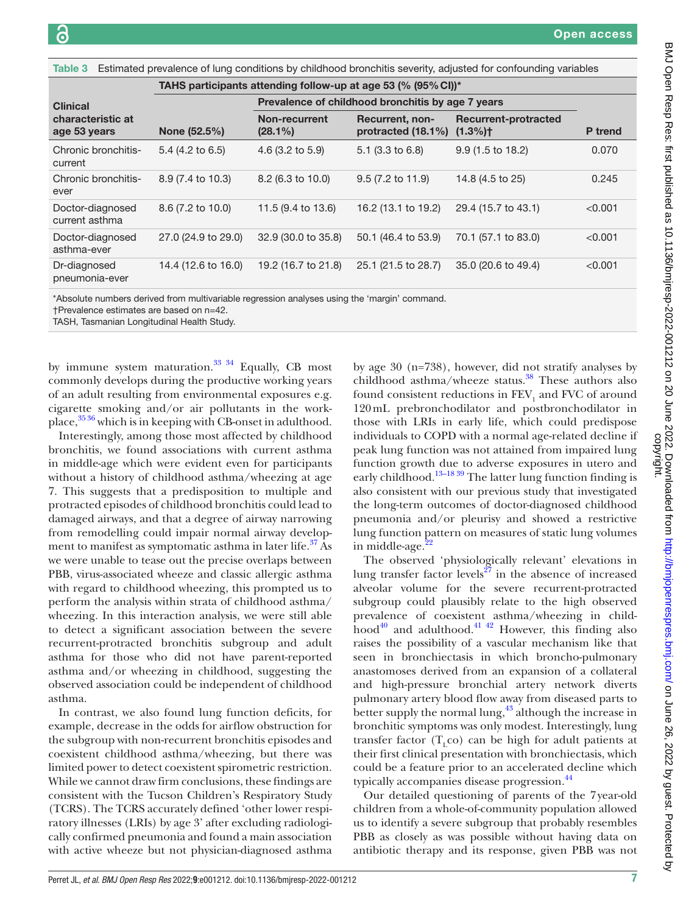Table 3 Estimated prevalence of lung conditions by childhood bronchitis severity, adjusted for confounding variables

|                                    | TAHS participants attending follow-up at age 53 (% (95% CI))* |                                                   |                                                 |                                     |                |  |  |  |
|------------------------------------|---------------------------------------------------------------|---------------------------------------------------|-------------------------------------------------|-------------------------------------|----------------|--|--|--|
| <b>Clinical</b>                    |                                                               | Prevalence of childhood bronchitis by age 7 years |                                                 |                                     |                |  |  |  |
| characteristic at<br>age 53 years  | None (52.5%)                                                  | Non-recurrent<br>$(28.1\%)$                       | <b>Recurrent, non-</b><br>protracted $(18.1\%)$ | Recurrent-protracted<br>$(1.3\%)$ † | <b>P</b> trend |  |  |  |
| Chronic bronchitis-<br>current     | $5.4$ (4.2 to 6.5)                                            | 4.6 (3.2 to 5.9)                                  | $5.1$ (3.3 to 6.8)                              | $9.9(1.5 \text{ to } 18.2)$         | 0.070          |  |  |  |
| Chronic bronchitis-<br>ever        | 8.9 (7.4 to 10.3)                                             | 8.2 (6.3 to 10.0)                                 | $9.5(7.2 \text{ to } 11.9)$                     | 14.8 (4.5 to 25)                    | 0.245          |  |  |  |
| Doctor-diagnosed<br>current asthma | 8.6 (7.2 to 10.0)                                             | 11.5 (9.4 to 13.6)                                | 16.2 (13.1 to 19.2)                             | 29.4 (15.7 to 43.1)                 | < 0.001        |  |  |  |
| Doctor-diagnosed<br>asthma-ever    | 27.0 (24.9 to 29.0)                                           | 32.9 (30.0 to 35.8)                               | 50.1 (46.4 to 53.9)                             | 70.1 (57.1 to 83.0)                 | < 0.001        |  |  |  |
| Dr-diagnosed<br>pneumonia-ever     | 14.4 (12.6 to 16.0)                                           | 19.2 (16.7 to 21.8)                               | 25.1 (21.5 to 28.7)                             | 35.0 (20.6 to 49.4)                 | < 0.001        |  |  |  |

\*Absolute numbers derived from multivariable regression analyses using the 'margin' command.

†Prevalence estimates are based on n=42.

TASH, Tasmanian Longitudinal Health Study.

by immune system maturation. $33 \frac{34}{15}$  Equally, CB most commonly develops during the productive working years of an adult resulting from environmental exposures e.g. cigarette smoking and/or air pollutants in the workplace,[35 36](#page-10-20) which is in keeping with CB-onset in adulthood.

Interestingly, among those most affected by childhood bronchitis, we found associations with current asthma in middle-age which were evident even for participants without a history of childhood asthma/wheezing at age 7. This suggests that a predisposition to multiple and protracted episodes of childhood bronchitis could lead to damaged airways, and that a degree of airway narrowing from remodelling could impair normal airway development to manifest as symptomatic asthma in later life.<sup>37</sup> As we were unable to tease out the precise overlaps between PBB, virus-associated wheeze and classic allergic asthma with regard to childhood wheezing, this prompted us to perform the analysis within strata of childhood asthma/ wheezing. In this interaction analysis, we were still able to detect a significant association between the severe recurrent-protracted bronchitis subgroup and adult asthma for those who did not have parent-reported asthma and/or wheezing in childhood, suggesting the observed association could be independent of childhood asthma.

In contrast, we also found lung function deficits, for example, decrease in the odds for airflow obstruction for the subgroup with non-recurrent bronchitis episodes and coexistent childhood asthma/wheezing, but there was limited power to detect coexistent spirometric restriction. While we cannot draw firm conclusions, these findings are consistent with the Tucson Children's Respiratory Study (TCRS). The TCRS accurately defined 'other lower respiratory illnesses (LRIs) by age 3' after excluding radiologically confirmed pneumonia and found a main association with active wheeze but not physician-diagnosed asthma

by age 30 (n=738), however, did not stratify analyses by childhood asthma/wheeze status. $38$  These authors also found consistent reductions in  $\rm{FEV}_1$  and  $\rm{FVC}$  of around 120mL prebronchodilator and postbronchodilator in those with LRIs in early life, which could predispose individuals to COPD with a normal age-related decline if peak lung function was not attained from impaired lung function growth due to adverse exposures in utero and early childhood.<sup>[13–18 39](#page-10-8)</sup> The latter lung function finding is also consistent with our previous study that investigated the long-term outcomes of doctor-diagnosed childhood pneumonia and/or pleurisy and showed a restrictive lung function pattern on measures of static lung volumes in middle-age.<sup>2</sup>

The observed 'physiologically relevant' elevations in lung transfer factor levels<sup>27</sup> in the absence of increased alveolar volume for the severe recurrent-protracted subgroup could plausibly relate to the high observed prevalence of coexistent asthma/wheezing in childhood $^{40}$  and adulthood. $^{41}$   $^{42}$  However, this finding also raises the possibility of a vascular mechanism like that seen in bronchiectasis in which broncho-pulmonary anastomoses derived from an expansion of a collateral and high-pressure bronchial artery network diverts pulmonary artery blood flow away from diseased parts to better supply the normal lung, $43$  although the increase in bronchitic symptoms was only modest. Interestingly, lung transfer factor  $(T_{\text{r}}\text{co})$  can be high for adult patients at their first clinical presentation with bronchiectasis, which could be a feature prior to an accelerated decline which typically accompanies disease progression.<sup>44</sup>

Our detailed questioning of parents of the 7year-old children from a whole-of-community population allowed us to identify a severe subgroup that probably resembles PBB as closely as was possible without having data on antibiotic therapy and its response, given PBB was not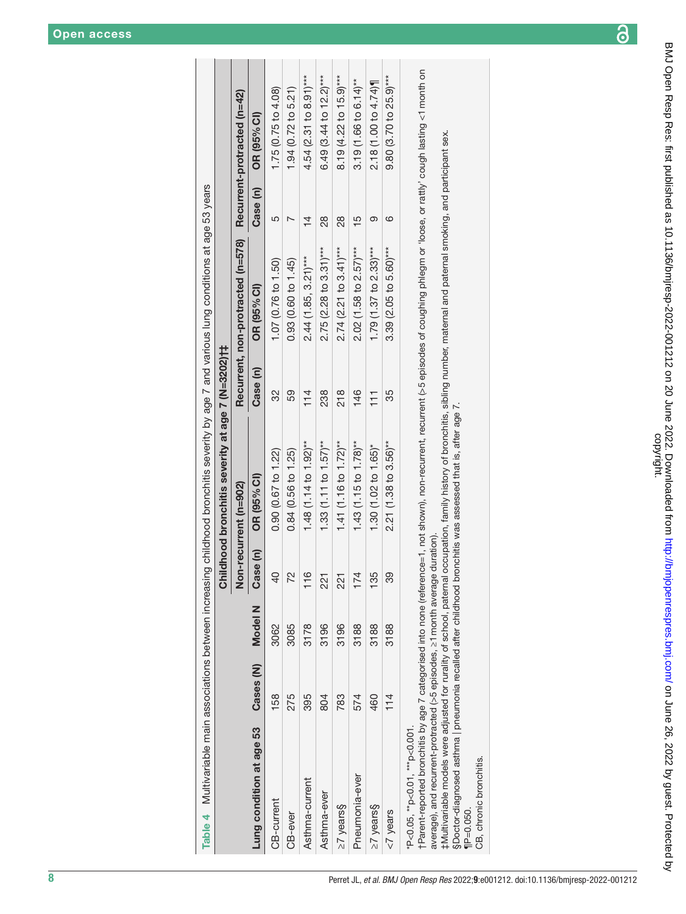| . .<br>$\frac{1}{2}$ |  |  |
|----------------------|--|--|
|                      |  |  |
|                      |  |  |
|                      |  |  |

|                          |           |         |               | Childhood bronchitis severity at age 7 (N=3202)†‡<br>Non-recurrent (n=902) |               | Recurrent, non-protracted (n=578) |                | Recurrent-protracted (n=42)          |
|--------------------------|-----------|---------|---------------|----------------------------------------------------------------------------|---------------|-----------------------------------|----------------|--------------------------------------|
| Lung condition at age 53 | Cases (N) | Model N | Case (n)      | OR (95% CI)                                                                | Case (n)      | OR (95% CI)                       | Case (n)       | OR (95% CI)                          |
| CB-current               | 158       | 3062    | A<br>A        | 0.90(0.67 to 1.22)                                                         | 32            | 1.07 (0.76 to 1.50)               | 5              | 1.75(0.75 to 4.08)                   |
| CB-ever                  | 275       | 3085    | 22            | 0.84 (0.56 to 1.25)                                                        | 59            | 0.93 (0.60 to 1.45)               |                | 1.94 (0.72 to 5.21)                  |
| Asthma-current           | 395       | 3178    | $\frac{6}{1}$ | 1.48 (1.14 to 1.92) <sup>**</sup>                                          | 14            | $2.44(1.85, 3.21)***$             | $\overline{4}$ | $4.54$ (2.31 to 8.91)***             |
| Asthma-ever              | 804       | 3196    | 221           | 1.33 $(1.11$ to $1.57)$ **                                                 | 238           | $2.75$ (2.28 to 3.31)***          | 88             | 6.49 (3.44 to 12.2)***               |
| $\geq$ 7 years $\S$      | 783       | 3196    | 221           | 1.41 (1.16 to 1.72)**                                                      | 218           | $2.74(2.21 to 3.41***$            | 88             | 8.19 (4.22 to 15.9) <sup>***</sup>   |
| Pneumonia-ever           | 574       | 3188    | 174           | $1.43(1.15 to 1.78)$ **                                                    | 146           | $2.02$ (1.58 to 2.57)***          | ഥ              | $3.19(1.66 to 6.14)$ <sup>**</sup>   |
| $\geq$ 7 years $\S$      | 460       | 3188    | 135           | 1.30 (1.02 to 1.65)*                                                       | $\frac{1}{1}$ | 1.79 (1.37 to 2.33)***            | ග              | 2.18 (1.00 to 4.74)                  |
| <7 years                 | 114       | 3188    | တွ            | $2.21(1.38 to 3.56)$ **                                                    | 35            | $3.39(2.05 to 5.60)***$           | ဖ              | $9.80$ (3.70 to 25.9) <sup>***</sup> |

rParent-reported bronchitis by age 7 categorised into none (reference=1, not shown), non-recurrent, recurrent (>5 episodes of coughing phlegm or 'loose, or rattly' cough lasting <1 month on †Parent-reported bronchitis by age 7 categorised into none (reference=1, not shown), non-recurrent, recurrent (>5 episodes of coughing phlegm or 'loose, or rattly' cough lasting <1month on average), and recurrent-protracted (>5 episodes, ≥1 month average duration). average), and recurrent-protracted (>5 episodes, ≥1month average duration).

‡Multivariable models were adjusted for rurality of school, paternal occupation, family history of bronchitis, sibling number, maternal and paternal smoking, and participant sex.<br>§Doctor-diagnosed asthma | pneumonia recall ‡Multivariable models were adjusted for rurality of school, paternal occupation, family history of bronchitis, sibling number, maternal and paternal smoking, and participant sex.

§Doctor-diagnosed asthma | pneumonia recalled after childhood bronchitis was assessed that is, after age 7.

<span id="page-7-0"></span>CB, chronic bronchitis. CB, chronic bronchitis.  $IP = 0.050$ .  $\P$ P=0.050.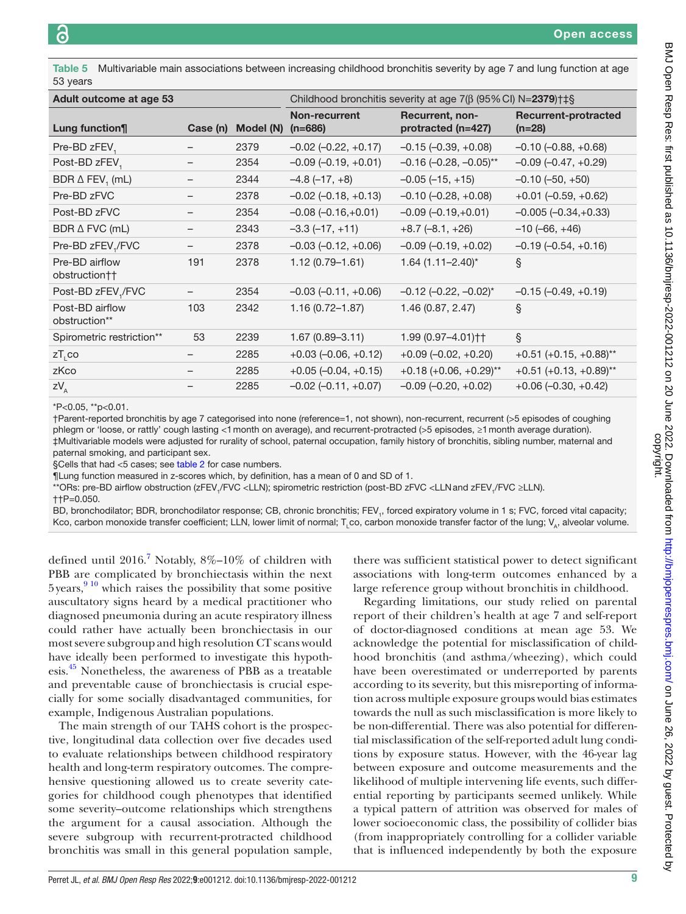<span id="page-8-0"></span>Table 5 Multivariable main associations between increasing childhood bronchitis severity by age 7 and lung function at age 53 years

| Adult outcome at age 53          |          |           | Childhood bronchitis severity at age $7(\beta (95\% \text{ Cl}) N=2379) \uparrow +\S$ |                                       |                                         |  |
|----------------------------------|----------|-----------|---------------------------------------------------------------------------------------|---------------------------------------|-----------------------------------------|--|
| Lung function¶                   | Case (n) | Model (N) | Non-recurrent<br>$(n=686)$                                                            | Recurrent, non-<br>protracted (n=427) | <b>Recurrent-protracted</b><br>$(n=28)$ |  |
| Pre-BD zFEV,                     |          | 2379      | $-0.02$ $(-0.22, +0.17)$                                                              | $-0.15 (-0.39, +0.08)$                | $-0.10$ $(-0.88, +0.68)$                |  |
| Post-BD zFEV,                    |          | 2354      | $-0.09$ $(-0.19, +0.01)$                                                              | $-0.16$ $(-0.28, -0.05)$ **           | $-0.09$ $(-0.47, +0.29)$                |  |
| BDR $\triangle$ FEV, (mL)        |          | 2344      | $-4.8(-17, +8)$                                                                       | $-0.05(-15, +15)$                     | $-0.10$ $(-50, +50)$                    |  |
| Pre-BD zFVC                      |          | 2378      | $-0.02$ $(-0.18, +0.13)$                                                              | $-0.10$ $(-0.28, +0.08)$              | $+0.01$ (-0.59, $+0.62$ )               |  |
| Post-BD zFVC                     |          | 2354      | $-0.08$ $(-0.16,+0.01)$                                                               | $-0.09(-0.19,+0.01)$                  | $-0.005 (-0.34,+0.33)$                  |  |
| $BDR \triangle FVC$ (mL)         |          | 2343      | $-3.3(-17, +11)$                                                                      | $+8.7$ (-8.1, $+26$ )                 | $-10(-66, +46)$                         |  |
| Pre-BD zFEV,/FVC                 |          | 2378      | $-0.03$ $(-0.12, +0.06)$                                                              | $-0.09$ $(-0.19, +0.02)$              | $-0.19(-0.54, +0.16)$                   |  |
| Pre-BD airflow<br>obstruction††  | 191      | 2378      | $1.12(0.79 - 1.61)$                                                                   | $1.64$ (1.11-2.40)*                   | ş                                       |  |
| Post-BD zFEV <sub>1</sub> /FVC   |          | 2354      | $-0.03$ $(-0.11, +0.06)$                                                              | $-0.12$ $(-0.22, -0.02)^*$            | $-0.15$ $(-0.49, +0.19)$                |  |
| Post-BD airflow<br>obstruction** | 103      | 2342      | $1.16(0.72 - 1.87)$                                                                   | 1.46 (0.87, 2.47)                     | $\S$                                    |  |
| Spirometric restriction**        | 53       | 2239      | $1.67(0.89 - 3.11)$                                                                   | 1.99 (0.97-4.01) † †                  | $\S$                                    |  |
| $ZT_{1}$ co                      |          | 2285      | $+0.03$ (-0.06, $+0.12$ )                                                             | $+0.09$ (-0.02, +0.20)                | $+0.51 (+0.15, +0.88)$ **               |  |
| zKco                             |          | 2285      | $+0.05 (-0.04, +0.15)$                                                                | $+0.18 (+0.06, +0.29)$ **             | $+0.51 (+0.13, +0.89)$ **               |  |
| $ZV_A$                           |          | 2285      | $-0.02$ $(-0.11, +0.07)$                                                              | $-0.09$ $(-0.20, +0.02)$              | $+0.06$ (-0.30, $+0.42$ )               |  |
|                                  |          |           |                                                                                       |                                       |                                         |  |

\*P<0.05, \*\*p<0.01.

†Parent-reported bronchitis by age 7 categorised into none (reference=1, not shown), non-recurrent, recurrent (>5 episodes of coughing phlegm or 'loose, or rattly' cough lasting <1month on average), and recurrent-protracted (>5 episodes, ≥1month average duration). ‡Multivariable models were adjusted for rurality of school, paternal occupation, family history of bronchitis, sibling number, maternal and paternal smoking, and participant sex.

§Cells that had <5 cases; see [table 2](#page-5-0) for case numbers.

¶Lung function measured in z-scores which, by definition, has a mean of 0 and SD of 1.

\*\*ORs: pre-BD airflow obstruction (zFEV<sub>1</sub>/FVC <LLN); spirometric restriction (post-BD zFVC <LLNand zFEV<sub>1</sub>/FVC ≥LLN).

††P=0.050.

BD, bronchodilator; BDR, bronchodilator response; CB, chronic bronchitis; FEV<sub>1</sub>, forced expiratory volume in 1 s; FVC, forced vital capacity; Kco, carbon monoxide transfer coefficient; LLN, lower limit of normal; T<sub>L</sub>co, carbon monoxide transfer factor of the lung; V<sub>A</sub>, alveolar volume.

defined until  $2016<sup>7</sup>$  Notably,  $8\%$ -10% of children with PBB are complicated by bronchiectasis within the next 5 years,<sup>910</sup> which raises the possibility that some positive auscultatory signs heard by a medical practitioner who diagnosed pneumonia during an acute respiratory illness could rather have actually been bronchiectasis in our most severe subgroup and high resolution CT scans would have ideally been performed to investigate this hypothesis.[45](#page-10-27) Nonetheless, the awareness of PBB as a treatable and preventable cause of bronchiectasis is crucial especially for some socially disadvantaged communities, for example, Indigenous Australian populations.

The main strength of our TAHS cohort is the prospective, longitudinal data collection over five decades used to evaluate relationships between childhood respiratory health and long-term respiratory outcomes. The comprehensive questioning allowed us to create severity categories for childhood cough phenotypes that identified some severity–outcome relationships which strengthens the argument for a causal association. Although the severe subgroup with recurrent-protracted childhood bronchitis was small in this general population sample,

there was sufficient statistical power to detect significant associations with long-term outcomes enhanced by a large reference group without bronchitis in childhood.

Regarding limitations, our study relied on parental report of their children's health at age 7 and self-report of doctor-diagnosed conditions at mean age 53. We acknowledge the potential for misclassification of childhood bronchitis (and asthma/wheezing), which could have been overestimated or underreported by parents according to its severity, but this misreporting of information across multiple exposure groups would bias estimates towards the null as such misclassification is more likely to be non-differential. There was also potential for differential misclassification of the self-reported adult lung conditions by exposure status. However, with the 46-year lag between exposure and outcome measurements and the likelihood of multiple intervening life events, such differential reporting by participants seemed unlikely. While a typical pattern of attrition was observed for males of lower socioeconomic class, the possibility of collider bias (from inappropriately controlling for a collider variable that is influenced independently by both the exposure

BMJ Open Resp Res: first published as 10.1136/bmjresp-2022-001212 on 20 June 2022. Downloaded from <http://bmjopenrespres.bmj.com/> on June 26, 2022 by guest. Protected by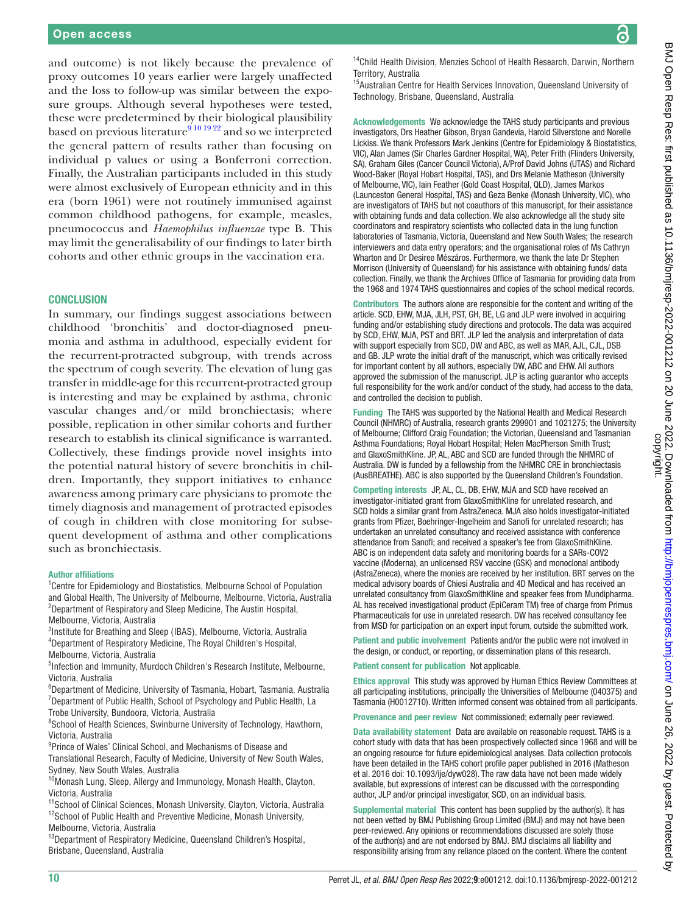<u>ခ</u>

and outcome) is not likely because the prevalence of proxy outcomes 10 years earlier were largely unaffected and the loss to follow-up was similar between the exposure groups. Although several hypotheses were tested, these were predetermined by their biological plausibility based on previous literature<sup>9 10 19 22</sup> and so we interpreted the general pattern of results rather than focusing on individual p values or using a Bonferroni correction. Finally, the Australian participants included in this study were almost exclusively of European ethnicity and in this era (born 1961) were not routinely immunised against common childhood pathogens, for example, measles, pneumococcus and *Haemophilus influenzae* type B. This may limit the generalisability of our findings to later birth cohorts and other ethnic groups in the vaccination era.

#### **CONCLUSION**

In summary, our findings suggest associations between childhood 'bronchitis' and doctor-diagnosed pneumonia and asthma in adulthood, especially evident for the recurrent-protracted subgroup, with trends across the spectrum of cough severity. The elevation of lung gas transfer in middle-age for this recurrent-protracted group is interesting and may be explained by asthma, chronic vascular changes and/or mild bronchiectasis; where possible, replication in other similar cohorts and further research to establish its clinical significance is warranted. Collectively, these findings provide novel insights into the potential natural history of severe bronchitis in children. Importantly, they support initiatives to enhance awareness among primary care physicians to promote the timely diagnosis and management of protracted episodes of cough in children with close monitoring for subsequent development of asthma and other complications such as bronchiectasis.

#### Author affiliations

<sup>1</sup> Centre for Epidemiology and Biostatistics, Melbourne School of Population and Global Health, The University of Melbourne, Melbourne, Victoria, Australia <sup>2</sup>Department of Respiratory and Sleep Medicine, The Austin Hospital, Melbourne, Victoria, Australia

3 Institute for Breathing and Sleep (IBAS), Melbourne, Victoria, Australia 4 Department of Respiratory Medicine, The Royal Children's Hospital, Melbourne, Victoria, Australia

<sup>5</sup>Infection and Immunity, Murdoch Children's Research Institute, Melbourne, Victoria, Australia

6 Department of Medicine, University of Tasmania, Hobart, Tasmania, Australia  $7$ Department of Public Health, School of Psychology and Public Health, La Trobe University, Bundoora, Victoria, Australia

<sup>8</sup>School of Health Sciences, Swinburne University of Technology, Hawthorn, Victoria, Australia

<sup>9</sup> Prince of Wales' Clinical School, and Mechanisms of Disease and Translational Research, Faculty of Medicine, University of New South Wales, Sydney, New South Wales, Australia

<sup>10</sup>Monash Lung, Sleep, Allergy and Immunology, Monash Health, Clayton, Victoria, Australia

<sup>11</sup>School of Clinical Sciences, Monash University, Clayton, Victoria, Australia <sup>12</sup>School of Public Health and Preventive Medicine, Monash University, Melbourne, Victoria, Australia

<sup>13</sup>Department of Respiratory Medicine, Queensland Children's Hospital, Brisbane, Queensland, Australia

<sup>14</sup>Child Health Division, Menzies School of Health Research, Darwin, Northern Territory, Australia

<sup>15</sup>Australian Centre for Health Services Innovation, Queensland University of Technology, Brisbane, Queensland, Australia

Acknowledgements We acknowledge the TAHS study participants and previous investigators, Drs Heather Gibson, Bryan Gandevia, Harold Silverstone and Norelle Lickiss. We thank Professors Mark Jenkins (Centre for Epidemiology & Biostatistics, VIC), Alan James (Sir Charles Gardner Hospital, WA), Peter Frith (Flinders University, SA), Graham Giles (Cancer Council Victoria), A/Prof David Johns (UTAS) and Richard Wood-Baker (Royal Hobart Hospital, TAS), and Drs Melanie Matheson (University of Melbourne, VIC), Iain Feather (Gold Coast Hospital, QLD), James Markos (Launceston General Hospital, TAS) and Geza Benke (Monash University, VIC), who are investigators of TAHS but not coauthors of this manuscript, for their assistance with obtaining funds and data collection. We also acknowledge all the study site coordinators and respiratory scientists who collected data in the lung function laboratories of Tasmania, Victoria, Queensland and New South Wales; the research interviewers and data entry operators; and the organisational roles of Ms Cathryn Wharton and Dr Desiree Mészáros. Furthermore, we thank the late Dr Stephen Morrison (University of Queensland) for his assistance with obtaining funds/ data collection. Finally, we thank the Archives Office of Tasmania for providing data from the 1968 and 1974 TAHS questionnaires and copies of the school medical records.

Contributors The authors alone are responsible for the content and writing of the article. SCD, EHW, MJA, JLH, PST, GH, BE, LG and JLP were involved in acquiring funding and/or establishing study directions and protocols. The data was acquired by SCD, EHW, MJA, PST and BRT. JLP led the analysis and interpretation of data with support especially from SCD, DW and ABC, as well as MAR, AJL, CJL, DSB and GB. JLP wrote the initial draft of the manuscript, which was critically revised for important content by all authors, especially DW, ABC and EHW. All authors approved the submission of the manuscript. JLP is acting guarantor who accepts full responsibility for the work and/or conduct of the study, had access to the data, and controlled the decision to publish.

Funding The TAHS was supported by the National Health and Medical Research Council (NHMRC) of Australia, research grants 299901 and 1021275; the University of Melbourne; Clifford Craig Foundation; the Victorian, Queensland and Tasmanian Asthma Foundations; Royal Hobart Hospital; Helen MacPherson Smith Trust; and GlaxoSmithKline. JP, AL, ABC and SCD are funded through the NHMRC of Australia. DW is funded by a fellowship from the NHMRC CRE in bronchiectasis (AusBREATHE). ABC is also supported by the Queensland Children's Foundation.

Competing interests JP, AL, CL, DB, EHW, MJA and SCD have received an investigator-initiated grant from GlaxoSmithKline for unrelated research, and SCD holds a similar grant from AstraZeneca. MJA also holds investigator-initiated grants from Pfizer, Boehringer-Ingelheim and Sanofi for unrelated research; has undertaken an unrelated consultancy and received assistance with conference attendance from Sanofi; and received a speaker's fee from GlaxoSmithKline. ABC is on independent data safety and monitoring boards for a SARs-COV2 vaccine (Moderna), an unlicensed RSV vaccine (GSK) and monoclonal antibody (AstraZeneca), where the monies are received by her institution. BRT serves on the medical advisory boards of Chiesi Australia and 4D Medical and has received an unrelated consultancy from GlaxoSmithKline and speaker fees from Mundipharma. AL has received investigational product (EpiCeram TM) free of charge from Primus Pharmaceuticals for use in unrelated research. DW has received consultancy fee from MSD for participation on an expert input forum, outside the submitted work.

Patient and public involvement Patients and/or the public were not involved in the design, or conduct, or reporting, or dissemination plans of this research.

Patient consent for publication Not applicable.

Ethics approval This study was approved by Human Ethics Review Committees at all participating institutions, principally the Universities of Melbourne (040375) and Tasmania (H0012710). Written informed consent was obtained from all participants.

Provenance and peer review Not commissioned; externally peer reviewed.

Data availability statement Data are available on reasonable request. TAHS is a cohort study with data that has been prospectively collected since 1968 and will be an ongoing resource for future epidemiological analyses. Data collection protocols have been detailed in the TAHS cohort profile paper published in 2016 (Matheson et al. 2016 doi: 10.1093/ije/dyw028). The raw data have not been made widely available, but expressions of interest can be discussed with the corresponding author, JLP and/or principal investigator, SCD, on an individual basis.

Supplemental material This content has been supplied by the author(s). It has not been vetted by BMJ Publishing Group Limited (BMJ) and may not have been peer-reviewed. Any opinions or recommendations discussed are solely those of the author(s) and are not endorsed by BMJ. BMJ disclaims all liability and responsibility arising from any reliance placed on the content. Where the content